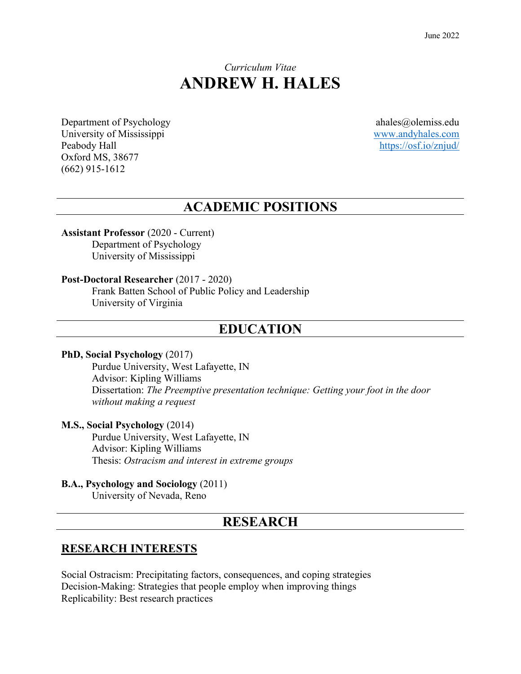# *Curriculum Vitae* **ANDREW H. HALES**

Department of Psychology University of Mississippi Peabody Hall Oxford MS, 38677 (662) 915-1612

ahales@olemiss.edu www.andyhales.com https://osf.io/znjud/

## **ACADEMIC POSITIONS**

**Assistant Professor** (2020 - Current) Department of Psychology University of Mississippi

#### **Post-Doctoral Researcher** (2017 - 2020)

Frank Batten School of Public Policy and Leadership University of Virginia

## **EDUCATION**

#### **PhD, Social Psychology** (2017)

Purdue University, West Lafayette, IN Advisor: Kipling Williams Dissertation: *The Preemptive presentation technique: Getting your foot in the door without making a request*

#### **M.S., Social Psychology** (2014)

Purdue University, West Lafayette, IN Advisor: Kipling Williams Thesis: *Ostracism and interest in extreme groups*

#### **B.A., Psychology and Sociology** (2011)

University of Nevada, Reno

## **RESEARCH**

#### **RESEARCH INTERESTS**

Social Ostracism: Precipitating factors, consequences, and coping strategies Decision-Making: Strategies that people employ when improving things Replicability: Best research practices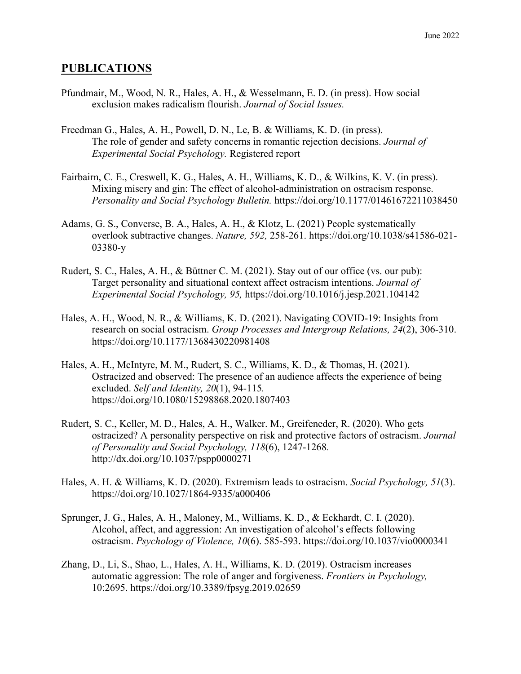### **PUBLICATIONS**

- Pfundmair, M., Wood, N. R., Hales, A. H., & Wesselmann, E. D. (in press). How social exclusion makes radicalism flourish. *Journal of Social Issues.*
- Freedman G., Hales, A. H., Powell, D. N., Le, B. & Williams, K. D. (in press). The role of gender and safety concerns in romantic rejection decisions. *Journal of Experimental Social Psychology.* Registered report
- Fairbairn, C. E., Creswell, K. G., Hales, A. H., Williams, K. D., & Wilkins, K. V. (in press). Mixing misery and gin: The effect of alcohol-administration on ostracism response. *Personality and Social Psychology Bulletin.* https://doi.org/10.1177/01461672211038450
- Adams, G. S., Converse, B. A., Hales, A. H., & Klotz, L. (2021) People systematically overlook subtractive changes. *Nature, 592,* 258-261. https://doi.org/10.1038/s41586-021- 03380-y
- Rudert, S. C., Hales, A. H., & Büttner C. M. (2021). Stay out of our office (vs. our pub): Target personality and situational context affect ostracism intentions. *Journal of Experimental Social Psychology, 95,* https://doi.org/10.1016/j.jesp.2021.104142
- Hales, A. H., Wood, N. R., & Williams, K. D. (2021). Navigating COVID-19: Insights from research on social ostracism. *Group Processes and Intergroup Relations, 24*(2), 306-310. https://doi.org/10.1177/1368430220981408
- Hales, A. H., McIntyre, M. M., Rudert, S. C., Williams, K. D., & Thomas, H. (2021). Ostracized and observed: The presence of an audience affects the experience of being excluded. *Self and Identity, 20*(1), 94-115*.*  https://doi.org/10.1080/15298868.2020.1807403
- Rudert, S. C., Keller, M. D., Hales, A. H., Walker. M., Greifeneder, R. (2020). Who gets ostracized? A personality perspective on risk and protective factors of ostracism. *Journal of Personality and Social Psychology, 118*(6), 1247-1268*.* http://dx.doi.org/10.1037/pspp0000271
- Hales, A. H. & Williams, K. D. (2020). Extremism leads to ostracism. *Social Psychology, 51*(3). https://doi.org/10.1027/1864-9335/a000406
- Sprunger, J. G., Hales, A. H., Maloney, M., Williams, K. D., & Eckhardt, C. I. (2020). Alcohol, affect, and aggression: An investigation of alcohol's effects following ostracism. *Psychology of Violence, 10*(6). 585-593. https://doi.org/10.1037/vio0000341
- Zhang, D., Li, S., Shao, L., Hales, A. H., Williams, K. D. (2019). Ostracism increases automatic aggression: The role of anger and forgiveness. *Frontiers in Psychology,*  10:2695. https://doi.org/10.3389/fpsyg.2019.02659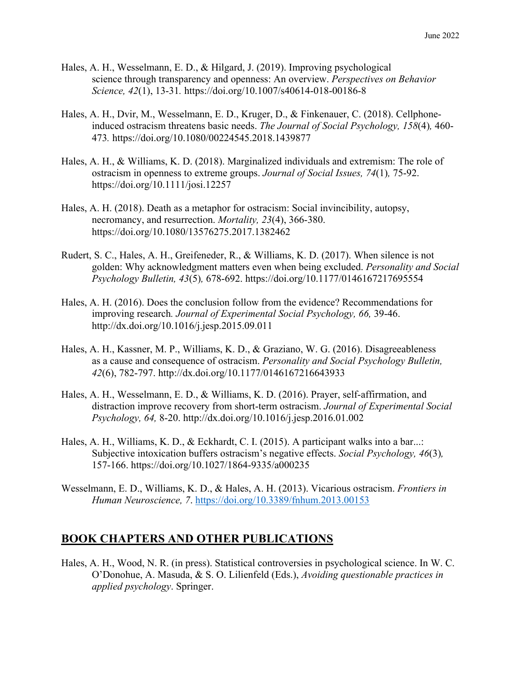- Hales, A. H., Wesselmann, E. D., & Hilgard, J. (2019). Improving psychological science through transparency and openness: An overview. *Perspectives on Behavior Science, 42*(1), 13-31*.* https://doi.org/10.1007/s40614-018-00186-8
- Hales, A. H., Dvir, M., Wesselmann, E. D., Kruger, D., & Finkenauer, C. (2018). Cellphoneinduced ostracism threatens basic needs. *The Journal of Social Psychology, 158*(4)*,* 460- 473*.* https://doi.org/10.1080/00224545.2018.1439877
- Hales, A. H., & Williams, K. D. (2018). Marginalized individuals and extremism: The role of ostracism in openness to extreme groups. *Journal of Social Issues, 74*(1)*,* 75-92. https://doi.org/10.1111/josi.12257
- Hales, A. H. (2018). Death as a metaphor for ostracism: Social invincibility, autopsy, necromancy, and resurrection. *Mortality, 23*(4), 366-380. https://doi.org/10.1080/13576275.2017.1382462
- Rudert, S. C., Hales, A. H., Greifeneder, R., & Williams, K. D. (2017). When silence is not golden: Why acknowledgment matters even when being excluded. *Personality and Social Psychology Bulletin, 43*(5)*,* 678-692. https://doi.org/10.1177/0146167217695554
- Hales, A. H. (2016). Does the conclusion follow from the evidence? Recommendations for improving research*. Journal of Experimental Social Psychology, 66,* 39-46. http://dx.doi.org/10.1016/j.jesp.2015.09.011
- Hales, A. H., Kassner, M. P., Williams, K. D., & Graziano, W. G. (2016). Disagreeableness as a cause and consequence of ostracism. *Personality and Social Psychology Bulletin, 42*(6), 782-797. http://dx.doi.org/10.1177/0146167216643933
- Hales, A. H., Wesselmann, E. D., & Williams, K. D. (2016). Prayer, self-affirmation, and distraction improve recovery from short-term ostracism. *Journal of Experimental Social Psychology, 64,* 8-20. http://dx.doi.org/10.1016/j.jesp.2016.01.002
- Hales, A. H., Williams, K. D., & Eckhardt, C. I. (2015). A participant walks into a bar...: Subjective intoxication buffers ostracism's negative effects. *Social Psychology, 46*(3)*,* 157-166. https://doi.org/10.1027/1864-9335/a000235
- Wesselmann, E. D., Williams, K. D., & Hales, A. H. (2013). Vicarious ostracism. *Frontiers in Human Neuroscience, 7*. https://doi.org/10.3389/fnhum.2013.00153

#### **BOOK CHAPTERS AND OTHER PUBLICATIONS**

Hales, A. H., Wood, N. R. (in press). Statistical controversies in psychological science. In W. C. O'Donohue, A. Masuda, & S. O. Lilienfeld (Eds.), *Avoiding questionable practices in applied psychology*. Springer.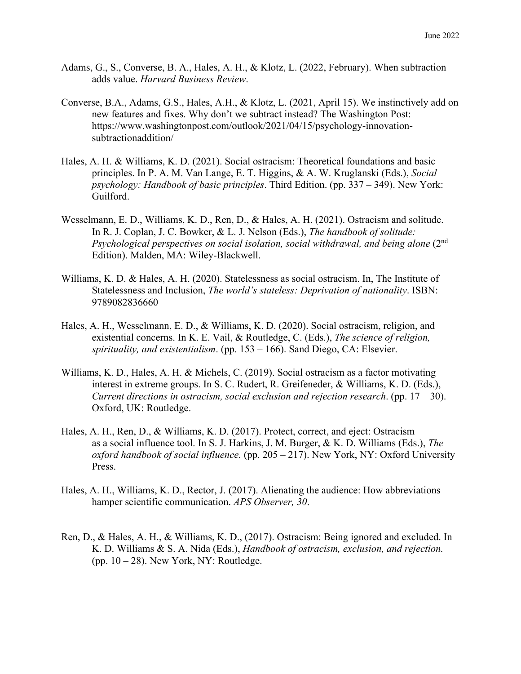- Adams, G., S., Converse, B. A., Hales, A. H., & Klotz, L. (2022, February). When subtraction adds value. *Harvard Business Review*.
- Converse, B.A., Adams, G.S., Hales, A.H., & Klotz, L. (2021, April 15). We instinctively add on new features and fixes. Why don't we subtract instead? The Washington Post: https://www.washingtonpost.com/outlook/2021/04/15/psychology-innovationsubtractionaddition/
- Hales, A. H. & Williams, K. D. (2021). Social ostracism: Theoretical foundations and basic principles. In P. A. M. Van Lange, E. T. Higgins, & A. W. Kruglanski (Eds.), *Social psychology: Handbook of basic principles*. Third Edition. (pp. 337 – 349). New York: Guilford.
- Wesselmann, E. D., Williams, K. D., Ren, D., & Hales, A. H. (2021). Ostracism and solitude. In R. J. Coplan, J. C. Bowker, & L. J. Nelson (Eds.), *The handbook of solitude: Psychological perspectives on social isolation, social withdrawal, and being alone* (2nd Edition). Malden, MA: Wiley-Blackwell.
- Williams, K. D. & Hales, A. H. (2020). Statelessness as social ostracism. In, The Institute of Statelessness and Inclusion, *The world's stateless: Deprivation of nationality*. ISBN: 9789082836660
- Hales, A. H., Wesselmann, E. D., & Williams, K. D. (2020). Social ostracism, religion, and existential concerns. In K. E. Vail, & Routledge, C. (Eds.), *The science of religion, spirituality, and existentialism*. (pp. 153 – 166). Sand Diego, CA: Elsevier.
- Williams, K. D., Hales, A. H. & Michels, C. (2019). Social ostracism as a factor motivating interest in extreme groups. In S. C. Rudert, R. Greifeneder, & Williams, K. D. (Eds.), *Current directions in ostracism, social exclusion and rejection research*. (pp. 17 – 30). Oxford, UK: Routledge.
- Hales, A. H., Ren, D., & Williams, K. D. (2017). Protect, correct, and eject: Ostracism as a social influence tool. In S. J. Harkins, J. M. Burger, & K. D. Williams (Eds.), *The oxford handbook of social influence.* (pp. 205 – 217). New York, NY: Oxford University Press.
- Hales, A. H., Williams, K. D., Rector, J. (2017). Alienating the audience: How abbreviations hamper scientific communication. *APS Observer, 30*.
- Ren, D., & Hales, A. H., & Williams, K. D., (2017). Ostracism: Being ignored and excluded. In K. D. Williams & S. A. Nida (Eds.), *Handbook of ostracism, exclusion, and rejection.* (pp.  $10 - 28$ ). New York, NY: Routledge.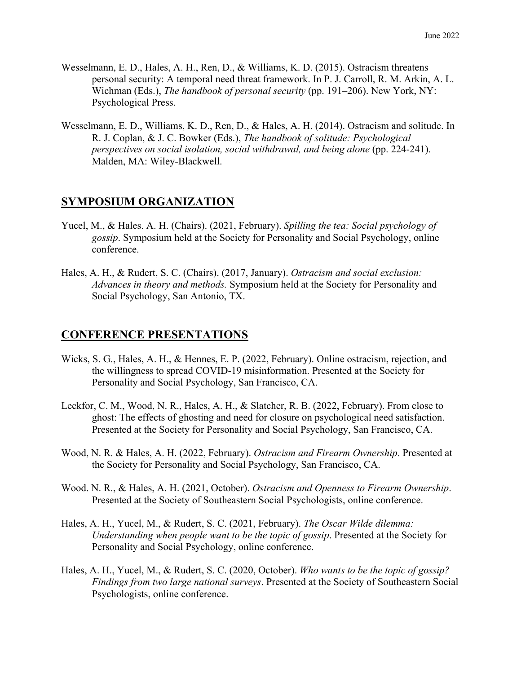- Wesselmann, E. D., Hales, A. H., Ren, D., & Williams, K. D. (2015). Ostracism threatens personal security: A temporal need threat framework. In P. J. Carroll, R. M. Arkin, A. L. Wichman (Eds.), *The handbook of personal security* (pp. 191–206). New York, NY: Psychological Press.
- Wesselmann, E. D., Williams, K. D., Ren, D., & Hales, A. H. (2014). Ostracism and solitude. In R. J. Coplan, & J. C. Bowker (Eds.), *The handbook of solitude: Psychological perspectives on social isolation, social withdrawal, and being alone* (pp. 224-241). Malden, MA: Wiley-Blackwell.

### **SYMPOSIUM ORGANIZATION**

- Yucel, M., & Hales. A. H. (Chairs). (2021, February). *Spilling the tea: Social psychology of gossip*. Symposium held at the Society for Personality and Social Psychology, online conference.
- Hales, A. H., & Rudert, S. C. (Chairs). (2017, January). *Ostracism and social exclusion: Advances in theory and methods.* Symposium held at the Society for Personality and Social Psychology, San Antonio, TX.

### **CONFERENCE PRESENTATIONS**

- Wicks, S. G., Hales, A. H., & Hennes, E. P. (2022, February). Online ostracism, rejection, and the willingness to spread COVID-19 misinformation. Presented at the Society for Personality and Social Psychology, San Francisco, CA.
- Leckfor, C. M., Wood, N. R., Hales, A. H., & Slatcher, R. B. (2022, February). From close to ghost: The effects of ghosting and need for closure on psychological need satisfaction. Presented at the Society for Personality and Social Psychology, San Francisco, CA.
- Wood, N. R. & Hales, A. H. (2022, February). *Ostracism and Firearm Ownership*. Presented at the Society for Personality and Social Psychology, San Francisco, CA.
- Wood. N. R., & Hales, A. H. (2021, October). *Ostracism and Openness to Firearm Ownership*. Presented at the Society of Southeastern Social Psychologists, online conference.
- Hales, A. H., Yucel, M., & Rudert, S. C. (2021, February). *The Oscar Wilde dilemma: Understanding when people want to be the topic of gossip*. Presented at the Society for Personality and Social Psychology, online conference.
- Hales, A. H., Yucel, M., & Rudert, S. C. (2020, October). *Who wants to be the topic of gossip? Findings from two large national surveys*. Presented at the Society of Southeastern Social Psychologists, online conference.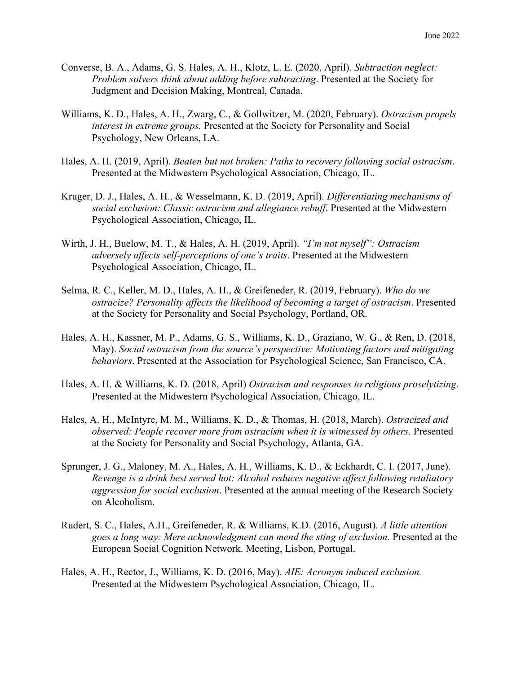- Converse, B. A., Adams, G. S. Hales, A. H., Klotz, L. E. (2020, April). *Subtraction neglect: Problem solvers think about adding before subtracting*. Presented at the Society for Judgment and Decision Making, Montreal, Canada.
- Williams, K. D., Hales, A. H., Zwarg, C., & Gollwitzer, M. (2020, February). *Ostracism propels interest in extreme groups.* Presented at the Society for Personality and Social Psychology, New Orleans, LA.
- Hales, A. H. (2019, April). *Beaten but not broken: Paths to recovery following social ostracism*. Presented at the Midwestern Psychological Association, Chicago, IL.
- Kruger, D. J., Hales, A. H., & Wesselmann, K. D. (2019, April). *Differentiating mechanisms of social exclusion: Classic ostracism and allegiance rebuff*. Presented at the Midwestern Psychological Association, Chicago, IL.
- Wirth, J. H., Buelow, M. T., & Hales, A. H. (2019, April). *"I'm not myself": Ostracism adversely affects self-perceptions of one's traits*. Presented at the Midwestern Psychological Association, Chicago, IL.
- Selma, R. C., Keller, M. D., Hales, A. H., & Greifeneder, R. (2019, February). *Who do we ostracize? Personality affects the likelihood of becoming a target of ostracism*. Presented at the Society for Personality and Social Psychology, Portland, OR.
- Hales, A. H., Kassner, M. P., Adams, G. S., Williams, K. D., Graziano, W. G., & Ren, D. (2018, May). *Social ostracism from the source's perspective: Motivating factors and mitigating behaviors*. Presented at the Association for Psychological Science, San Francisco, CA.
- Hales, A. H. & Williams, K. D. (2018, April) *Ostracism and responses to religious proselytizing*. Presented at the Midwestern Psychological Association, Chicago, IL.
- Hales, A. H., McIntyre, M. M., Williams, K. D., & Thomas, H. (2018, March). *Ostracized and observed: People recover more from ostracism when it is witnessed by others.* Presented at the Society for Personality and Social Psychology, Atlanta, GA.
- Sprunger, J. G., Maloney, M. A., Hales, A. H., Williams, K. D., & Eckhardt, C. I. (2017, June). *Revenge is a drink best served hot: Alcohol reduces negative affect following retaliatory aggression for social exclusion*. Presented at the annual meeting of the Research Society on Alcoholism.
- Rudert, S. C., Hales, A.H., Greifeneder, R. & Williams, K.D. (2016, August). *A little attention goes a long way: Mere acknowledgment can mend the sting of exclusion.* Presented at the European Social Cognition Network. Meeting, Lisbon, Portugal.
- Hales, A. H., Rector, J., Williams, K. D. (2016, May). *AIE: Acronym induced exclusion.* Presented at the Midwestern Psychological Association, Chicago, IL.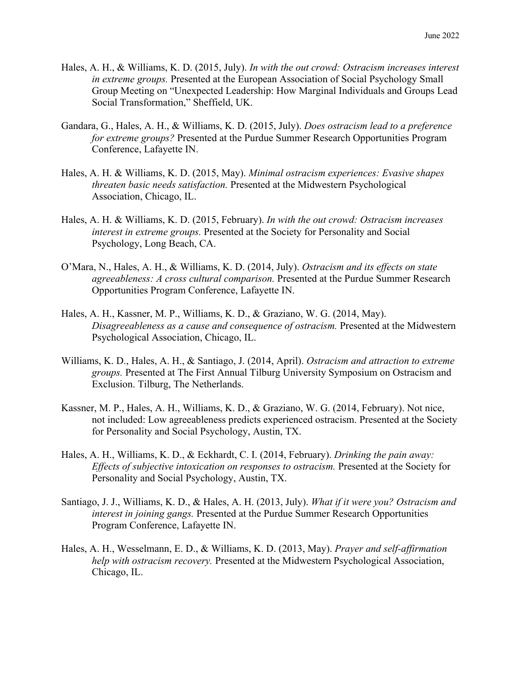- Hales, A. H., & Williams, K. D. (2015, July). *In with the out crowd: Ostracism increases interest in extreme groups.* Presented at the European Association of Social Psychology Small Group Meeting on "Unexpected Leadership: How Marginal Individuals and Groups Lead Social Transformation," Sheffield, UK.
- Gandara, G., Hales, A. H., & Williams, K. D. (2015, July). *Does ostracism lead to a preference for extreme groups?* Presented at the Purdue Summer Research Opportunities Program Conference, Lafayette IN.
- Hales, A. H. & Williams, K. D. (2015, May). *Minimal ostracism experiences: Evasive shapes threaten basic needs satisfaction.* Presented at the Midwestern Psychological Association, Chicago, IL.
- Hales, A. H. & Williams, K. D. (2015, February). *In with the out crowd: Ostracism increases interest in extreme groups.* Presented at the Society for Personality and Social Psychology, Long Beach, CA.
- O'Mara, N., Hales, A. H., & Williams, K. D. (2014, July). *Ostracism and its effects on state agreeableness: A cross cultural comparison.* Presented at the Purdue Summer Research Opportunities Program Conference, Lafayette IN.
- Hales, A. H., Kassner, M. P., Williams, K. D., & Graziano, W. G. (2014, May). *Disagreeableness as a cause and consequence of ostracism.* Presented at the Midwestern Psychological Association, Chicago, IL.
- Williams, K. D., Hales, A. H., & Santiago, J. (2014, April). *Ostracism and attraction to extreme groups.* Presented at The First Annual Tilburg University Symposium on Ostracism and Exclusion. Tilburg, The Netherlands.
- Kassner, M. P., Hales, A. H., Williams, K. D., & Graziano, W. G. (2014, February). Not nice, not included: Low agreeableness predicts experienced ostracism. Presented at the Society for Personality and Social Psychology, Austin, TX.
- Hales, A. H., Williams, K. D., & Eckhardt, C. I. (2014, February). *Drinking the pain away: Effects of subjective intoxication on responses to ostracism.* Presented at the Society for Personality and Social Psychology, Austin, TX.
- Santiago, J. J., Williams, K. D., & Hales, A. H. (2013, July). *What if it were you? Ostracism and interest in joining gangs.* Presented at the Purdue Summer Research Opportunities Program Conference, Lafayette IN.
- Hales, A. H., Wesselmann, E. D., & Williams, K. D. (2013, May). *Prayer and self-affirmation help with ostracism recovery.* Presented at the Midwestern Psychological Association, Chicago, IL.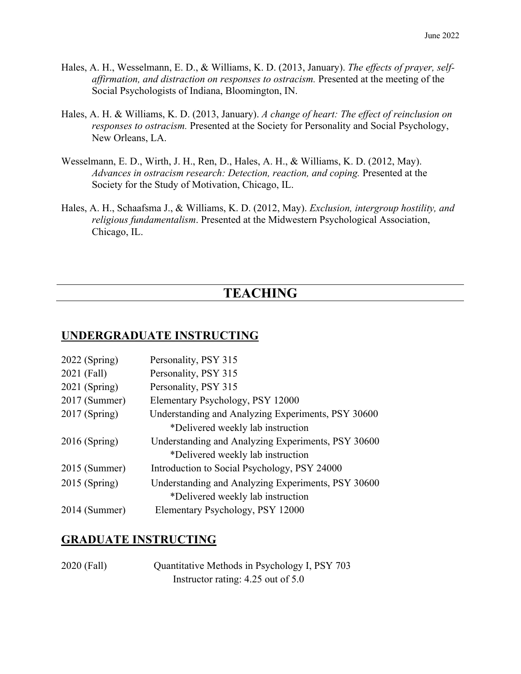- Hales, A. H., Wesselmann, E. D., & Williams, K. D. (2013, January). *The effects of prayer, selfaffirmation, and distraction on responses to ostracism.* Presented at the meeting of the Social Psychologists of Indiana, Bloomington, IN.
- Hales, A. H. & Williams, K. D. (2013, January). *A change of heart: The effect of reinclusion on responses to ostracism.* Presented at the Society for Personality and Social Psychology, New Orleans, LA.
- Wesselmann, E. D., Wirth, J. H., Ren, D., Hales, A. H., & Williams, K. D. (2012, May). *Advances in ostracism research: Detection, reaction, and coping.* Presented at the Society for the Study of Motivation, Chicago, IL.
- Hales, A. H., Schaafsma J., & Williams, K. D. (2012, May). *Exclusion, intergroup hostility, and religious fundamentalism*. Presented at the Midwestern Psychological Association, Chicago, IL.

# **TEACHING**

### **UNDERGRADUATE INSTRUCTING**

| $2022$ (Spring) | Personality, PSY 315                               |
|-----------------|----------------------------------------------------|
| 2021 (Fall)     | Personality, PSY 315                               |
| 2021 (Spring)   | Personality, PSY 315                               |
| 2017 (Summer)   | Elementary Psychology, PSY 12000                   |
| $2017$ (Spring) | Understanding and Analyzing Experiments, PSY 30600 |
|                 | *Delivered weekly lab instruction                  |
| $2016$ (Spring) | Understanding and Analyzing Experiments, PSY 30600 |
|                 | *Delivered weekly lab instruction                  |
| $2015$ (Summer) | Introduction to Social Psychology, PSY 24000       |
| $2015$ (Spring) | Understanding and Analyzing Experiments, PSY 30600 |
|                 | *Delivered weekly lab instruction                  |
| $2014$ (Summer) | Elementary Psychology, PSY 12000                   |

## **GRADUATE INSTRUCTING**

| 2020 (Fall) | Quantitative Methods in Psychology I, PSY 703 |
|-------------|-----------------------------------------------|
|             | Instructor rating: $4.25$ out of $5.0$        |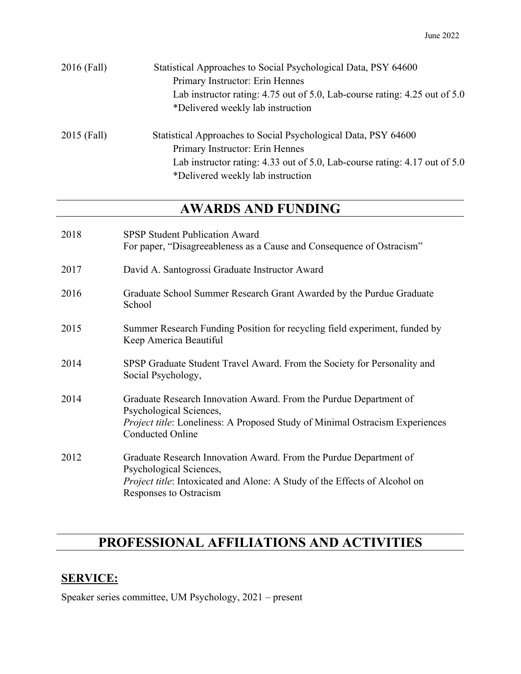| $2016$ (Fall) | Statistical Approaches to Social Psychological Data, PSY 64600             |  |
|---------------|----------------------------------------------------------------------------|--|
|               | Primary Instructor: Erin Hennes                                            |  |
|               | Lab instructor rating: 4.75 out of 5.0, Lab-course rating: 4.25 out of 5.0 |  |
|               | *Delivered weekly lab instruction                                          |  |
| 2015 (Fall)   | Statistical Approaches to Social Psychological Data, PSY 64600             |  |
|               | Primary Instructor: Erin Hennes                                            |  |
|               | Lab instructor rating: 4.33 out of 5.0, Lab-course rating: 4.17 out of 5.0 |  |
|               | *Delivered weekly lab instruction                                          |  |

# **AWARDS AND FUNDING**

| 2018 | <b>SPSP Student Publication Award</b><br>For paper, "Disagreeableness as a Cause and Consequence of Ostracism"                                                                                              |
|------|-------------------------------------------------------------------------------------------------------------------------------------------------------------------------------------------------------------|
| 2017 | David A. Santogrossi Graduate Instructor Award                                                                                                                                                              |
| 2016 | Graduate School Summer Research Grant Awarded by the Purdue Graduate<br>School                                                                                                                              |
| 2015 | Summer Research Funding Position for recycling field experiment, funded by<br>Keep America Beautiful                                                                                                        |
| 2014 | SPSP Graduate Student Travel Award. From the Society for Personality and<br>Social Psychology,                                                                                                              |
| 2014 | Graduate Research Innovation Award. From the Purdue Department of<br>Psychological Sciences,<br>Project title: Loneliness: A Proposed Study of Minimal Ostracism Experiences<br><b>Conducted Online</b>     |
| 2012 | Graduate Research Innovation Award. From the Purdue Department of<br>Psychological Sciences,<br><i>Project title:</i> Intoxicated and Alone: A Study of the Effects of Alcohol on<br>Responses to Ostracism |

# **PROFESSIONAL AFFILIATIONS AND ACTIVITIES**

## **SERVICE:**

Speaker series committee, UM Psychology, 2021 – present